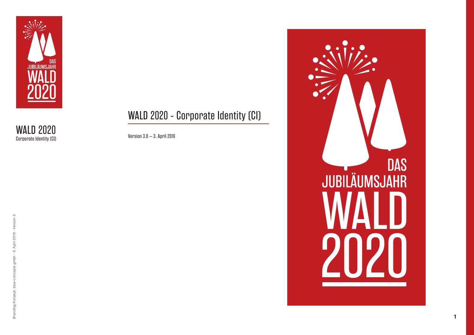

WALD 2020 - Corporate Identity (CI)

Version 3.0 – 3. April 2019

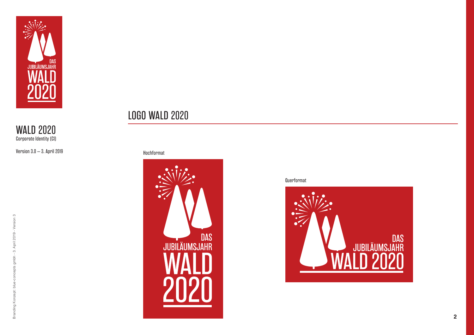

Version 3.0 – 3. April 2019

#### Hochformat

LOGO WALD 2020



Querformat

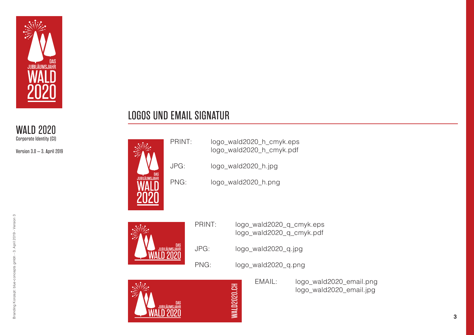

Version 3.0 – 3. April 2019

### LOGOS UND EMAIL SIGNATUR

**VS** 

|     | PRINT: |                          | logo_wald2020_h_cmyk.eps<br>logo_wald2020_h_cmyk.pdf |  |  |
|-----|--------|--------------------------|------------------------------------------------------|--|--|
|     | JPG:   |                          | logo_wald2020_h.jpg                                  |  |  |
| DAS | PNG:   |                          | logo_wald2020_h.png                                  |  |  |
|     |        |                          |                                                      |  |  |
|     |        | PRINT:                   | logo_wald2020_q_cmyk.eps<br>logo_wald2020_q_cmyk.pdf |  |  |
|     | DAS    | $\overline{\phantom{a}}$ | $\overline{1}$ $\overline{1}$ $\overline{1}$         |  |  |



DAS<br>UUBILÄUMSJAH<mark>r</mark>

|      | WALD2020.CH         | EMAIL: | logo_wald<br>logo_wald   |  |  |
|------|---------------------|--------|--------------------------|--|--|
| PNG: | logo_wald2020_q.png |        |                          |  |  |
| JPG: | logo_wald2020_q.jpg |        |                          |  |  |
|      |                     |        | logo_wald2020_q_cmyk.pdf |  |  |

go\_wald2020\_email.png logo\_wald2020\_email.jpg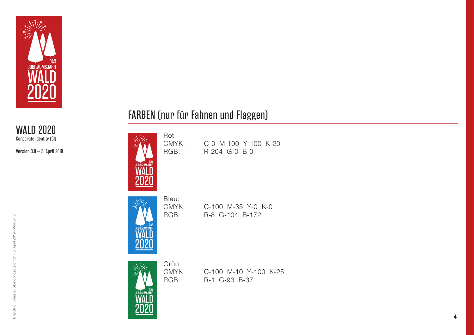

Version 3.0 – 3. April 2019



CMYK: C-100 M-35 Y-0 K-0<br>RGB: R-8 G-104 B-172 R-8 G-104 B-172

CMYK: C-0 M-100 Y-100 K-20<br>RGB: R-204 G-0 B-0 R-204 G-0 B-0

FARBEN (nur für Fahnen und Flaggen)

Rot:<br>CMYK:

Grün:<br>CMYK:

CMYK: C-100 M-10 Y-100 K-25<br>RGB: R-1 G-93 B-37 R-1 G-93 B-37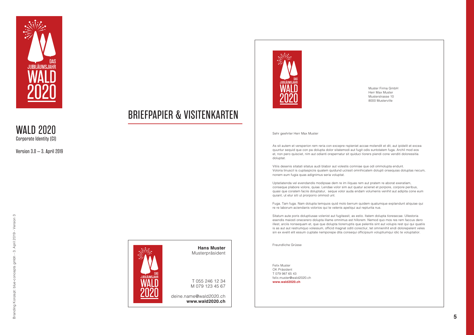

Version 3.0 – 3. April 2019



BRIEFPAPIER & VISITENKARTEN



Muster Firma GmbH Herr Max Muster Musterstrasse 10 8000 Musterville

#### Sehr geehrter Herr Max Muster

As sit autem et versperion rem reria con excepre rspieniet accae molendit et dit, aut ipidelit et excea quuntur sequid que con pa dolupta dolor sitatemodi aut fugit odis suntotatem fuga. Archil mod eos et, non pero quisciet, nim aut odianti orepernatur sit quiduci tiorers piendi cone venditi doloressitia doluptat.

Vitiis desenis sitatati sitatus audi blabor aut volestis comniae que odi ommolupta endunt. Voloria tinuscil is cuptaspiciis quatem quidund uciissit omnihicatem dolupti onsequias doluptas necum, nonem eum fugia quas adignimus seria voluptat.

Uptatiatenda vel evendandis modipsae dem re im iliquas rem aut pratem re aborat exeratiam, conseque plabore volore, quiae. Lendae volor sim aut quatur acienet et porpore, corpore peribus, quasi que coratem faciis doluptatur, seque volor auda endam volumenis venihit aut adipita cone eum quiant, ut etur siti ut prorporro ommod unt.

Fuga. Tam fuga. Nam dolupta temquos quid molo berrum quidem quatumque explandunt aliquiae qui re re laborum aciendanis volorios qui te velenis apeliqui aut repturita nus.

Sitatum aute poris doluptiusae volenist aut fugitassit, as estio. Itatem dolupta tioresecae. Ullestoria esendis maiosti onecerero dolupta illame omnimus est hillorem. Nemod quo mos res rem faccus dero illest, arciis nonsequam et, que que dolupta tiorerruptis que pelentis sint aut volupis rest qui qui quatiis is as aut aut restrumquo volessum, officid magnat oditi corectiur, tet omnienihit endi dolorepelent veles sin ex evelit elit essum cuptate nemporepe dita consequi officipsum voluptiumqui idic te voluptatior.

Freundliche Grüsse

Felix Muster OK Präsident T 079 987 65 43 felix.muster@wald2020.ch

**www.wald2020.ch**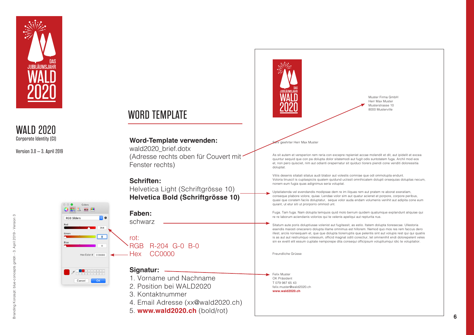

Version 3.0 – 3. April 2019





April 2019 - Version 3 Branding Konzept: blue-concepts gmbh - 3. April 2019 - Version 3  $\ddot{\cdot}$  $\frac{1}{2}$ Ħ blue. Konzept: pribri ो<br>श

Muster Firma GmbH Herr Max Muster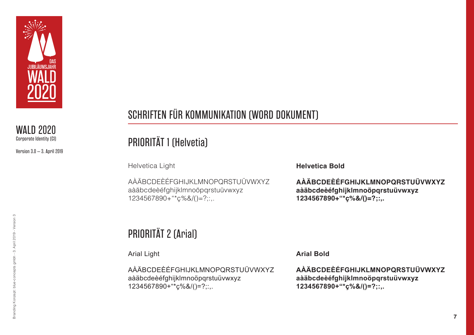

Version 3.0 – 3. April 2019

### SCHRIFTEN FÜR KOMMUNIKATION (WORD DOKUMENT)

## PRIORITÄT 1 (Helvetia)

Helvetica Light

AÀÄBCDEÈÉFGHIJKLMNOPQRSTUÜVWXYZ aàäbcdeèéfghijklmnoöpqrstuüvwxyz 1234567890+"\*ç%&/()=?;:,.

**Helvetica Bold**

**AÀÄBCDEÈÉFGHIJKLMNOPQRSTUÜVWXYZ aàäbcdeèéfghijklmnoöpqrstuüvwxyz 1234567890+"\*ç%&/()=?;:,.**

# PRIORITÄT 2 (Arial)

Arial Light

AÀÄBCDEÈÉFGHIJKLMNOPQRSTUÜVWXYZ aàäbcdeèéfghijklmnoöpqrstuüvwxyz 1234567890+"\*ç%&/()=?;:,.

**Arial Bold**

**AÀÄBCDEÈÉFGHIJKLMNOPQRSTUÜVWXYZ aàäbcdeèéfghijklmnoöpqrstuüvwxyz 1234567890+"\*ç%&/()=?;:,.**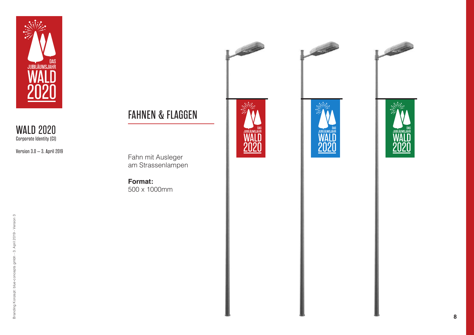

Version 3.0 – 3. April 2019









Fahn mit Ausleger am Strassenlampen

**Format:**  500 x 1000mm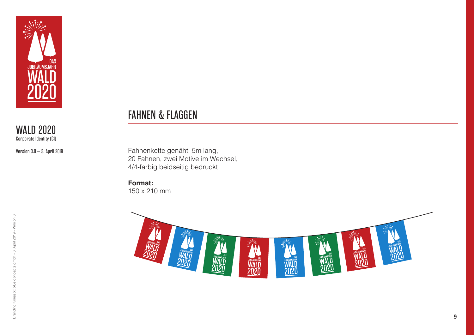

Version 3.0 – 3. April 2019

### FAHNEN & FLAGGEN

Fahnenkette genäht, 5m lang, 20 Fahnen, zwei Motive im Wechsel, 4/4-farbig beidseitig bedruckt

**Format:**  150 x 210 mm

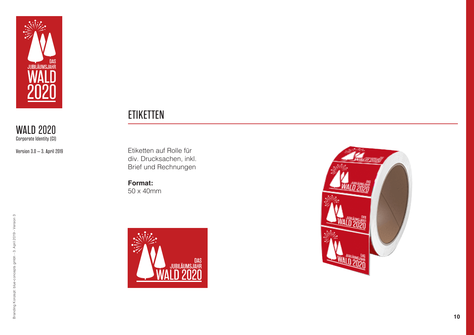

Version 3.0 – 3. April 2019

### **ETIKETTEN**

Etiketten auf Rolle für div. Drucksachen, inkl. Brief und Rechnungen

**Format:** 50 x 40mm



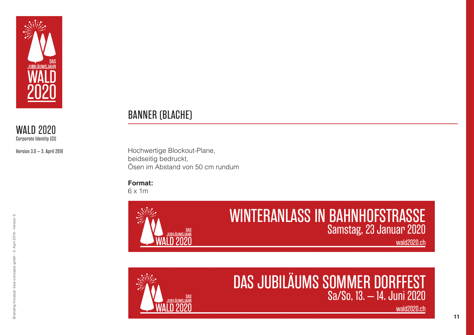

Version 3.0 – 3. April 2019

### BANNER (BLACHE)

Hochwertige Blockout-Plane, beidseitig bedruckt, Ösen im Abstand von 50 cm rundum

#### **Format:**

6 x 1m





# DAS JUBILÄUMS SOMMER DORFFEST Sa/So, 13. – 14. Juni 2020

wald2020.ch